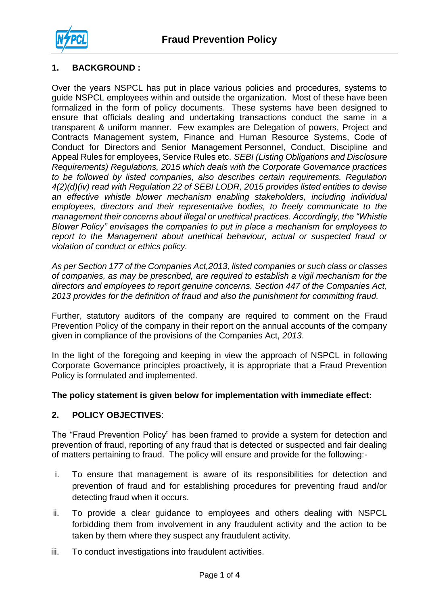

### **1. BACKGROUND :**

Over the years NSPCL has put in place various policies and procedures, systems to guide NSPCL employees within and outside the organization. Most of these have been formalized in the form of policy documents. These systems have been designed to ensure that officials dealing and undertaking transactions conduct the same in a transparent & uniform manner. Few examples are Delegation of powers, Project and Contracts Management system, Finance and Human Resource Systems, Code of Conduct for Directors and Senior Management Personnel, Conduct, Discipline and Appeal Rules for employees, Service Rules etc. *SEBI (Listing Obligations and Disclosure Requirements) Regulations, 2015 which deals with the Corporate Governance practices to be followed by listed companies, also describes certain requirements. Regulation 4(2)(d)(iv) read with Regulation 22 of SEBI LODR, 2015 provides listed entities to devise an effective whistle blower mechanism enabling stakeholders, including individual employees, directors and their representative bodies, to freely communicate to the management their concerns about illegal or unethical practices. Accordingly, the "Whistle Blower Policy" envisages the companies to put in place a mechanism for employees to*  report to the Management about unethical behaviour, actual or suspected fraud or *violation of conduct or ethics policy.*

*As per Section 177 of the Companies Act,2013, listed companies or such class or classes of companies, as may be prescribed, are required to establish a vigil mechanism for the directors and employees to report genuine concerns. Section 447 of the Companies Act, 2013 provides for the definition of fraud and also the punishment for committing fraud.*

Further, statutory auditors of the company are required to comment on the Fraud Prevention Policy of the company in their report on the annual accounts of the company given in compliance of the provisions of the Companies Act, *2013*.

In the light of the foregoing and keeping in view the approach of NSPCL in following Corporate Governance principles proactively, it is appropriate that a Fraud Prevention Policy is formulated and implemented.

### **The policy statement is given below for implementation with immediate effect:**

### **2. POLICY OBJECTIVES**:

The "Fraud Prevention Policy" has been framed to provide a system for detection and prevention of fraud, reporting of any fraud that is detected or suspected and fair dealing of matters pertaining to fraud. The policy will ensure and provide for the following:-

- i. To ensure that management is aware of its responsibilities for detection and prevention of fraud and for establishing procedures for preventing fraud and/or detecting fraud when it occurs.
- ii. To provide a clear guidance to employees and others dealing with NSPCL forbidding them from involvement in any fraudulent activity and the action to be taken by them where they suspect any fraudulent activity.
- iii. To conduct investigations into fraudulent activities.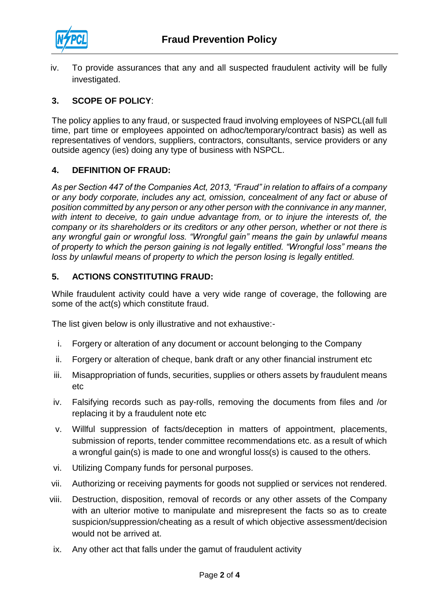

iv. To provide assurances that any and all suspected fraudulent activity will be fully investigated.

## **3. SCOPE OF POLICY**:

The policy applies to any fraud, or suspected fraud involving employees of NSPCL(all full time, part time or employees appointed on adhoc/temporary/contract basis) as well as representatives of vendors, suppliers, contractors, consultants, service providers or any outside agency (ies) doing any type of business with NSPCL.

### **4. DEFINITION OF FRAUD:**

*As per Section 447 of the Companies Act, 2013, "Fraud" in relation to affairs of a company or any body corporate, includes any act, omission, concealment of any fact or abuse of position committed by any person or any other person with the connivance in any manner, with intent to deceive, to gain undue advantage from, or to injure the interests of, the company or its shareholders or its creditors or any other person, whether or not there is any wrongful gain or wrongful loss. "Wrongful gain" means the gain by unlawful means of property to which the person gaining is not legally entitled. "Wrongful loss" means the loss by unlawful means of property to which the person losing is legally entitled.*

#### **5. ACTIONS CONSTITUTING FRAUD:**

While fraudulent activity could have a very wide range of coverage, the following are some of the act(s) which constitute fraud.

The list given below is only illustrative and not exhaustive:-

- i. Forgery or alteration of any document or account belonging to the Company
- ii. Forgery or alteration of cheque, bank draft or any other financial instrument etc
- iii. Misappropriation of funds, securities, supplies or others assets by fraudulent means etc
- iv. Falsifying records such as pay-rolls, removing the documents from files and /or replacing it by a fraudulent note etc
- v. Willful suppression of facts/deception in matters of appointment, placements, submission of reports, tender committee recommendations etc. as a result of which a wrongful gain(s) is made to one and wrongful loss(s) is caused to the others.
- vi. Utilizing Company funds for personal purposes.
- vii. Authorizing or receiving payments for goods not supplied or services not rendered.
- viii. Destruction, disposition, removal of records or any other assets of the Company with an ulterior motive to manipulate and misrepresent the facts so as to create suspicion/suppression/cheating as a result of which objective assessment/decision would not be arrived at.
- ix. Any other act that falls under the gamut of fraudulent activity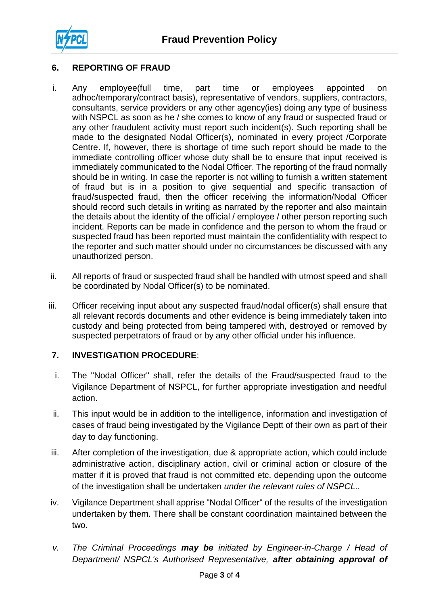

# **6. REPORTING OF FRAUD**

- i. Any employee(full time, part time or employees appointed on adhoc/temporary/contract basis), representative of vendors, suppliers, contractors, consultants, service providers or any other agency(ies) doing any type of business with NSPCL as soon as he / she comes to know of any fraud or suspected fraud or any other fraudulent activity must report such incident(s). Such reporting shall be made to the designated Nodal Officer(s), nominated in every project /Corporate Centre. If, however, there is shortage of time such report should be made to the immediate controlling officer whose duty shall be to ensure that input received is immediately communicated to the Nodal Officer. The reporting of the fraud normally should be in writing. In case the reporter is not willing to furnish a written statement of fraud but is in a position to give sequential and specific transaction of fraud/suspected fraud, then the officer receiving the information/Nodal Officer should record such details in writing as narrated by the reporter and also maintain the details about the identity of the official / employee / other person reporting such incident. Reports can be made in confidence and the person to whom the fraud or suspected fraud has been reported must maintain the confidentiality with respect to the reporter and such matter should under no circumstances be discussed with any unauthorized person.
- ii. All reports of fraud or suspected fraud shall be handled with utmost speed and shall be coordinated by Nodal Officer(s) to be nominated.
- iii. Officer receiving input about any suspected fraud/nodal officer(s) shall ensure that all relevant records documents and other evidence is being immediately taken into custody and being protected from being tampered with, destroyed or removed by suspected perpetrators of fraud or by any other official under his influence.

### **7. INVESTIGATION PROCEDURE**:

- i. The "Nodal Officer" shall, refer the details of the Fraud/suspected fraud to the Vigilance Department of NSPCL, for further appropriate investigation and needful action.
- ii. This input would be in addition to the intelligence, information and investigation of cases of fraud being investigated by the Vigilance Deptt of their own as part of their day to day functioning.
- iii. After completion of the investigation, due & appropriate action, which could include administrative action, disciplinary action, civil or criminal action or closure of the matter if it is proved that fraud is not committed etc. depending upon the outcome of the investigation shall be undertaken *under the relevant rules of NSPCL..*
- iv. Vigilance Department shall apprise "Nodal Officer" of the results of the investigation undertaken by them. There shall be constant coordination maintained between the two.
- *v. The Criminal Proceedings may be initiated by Engineer-in-Charge / Head of Department/ NSPCL's Authorised Representative, after obtaining approval of*